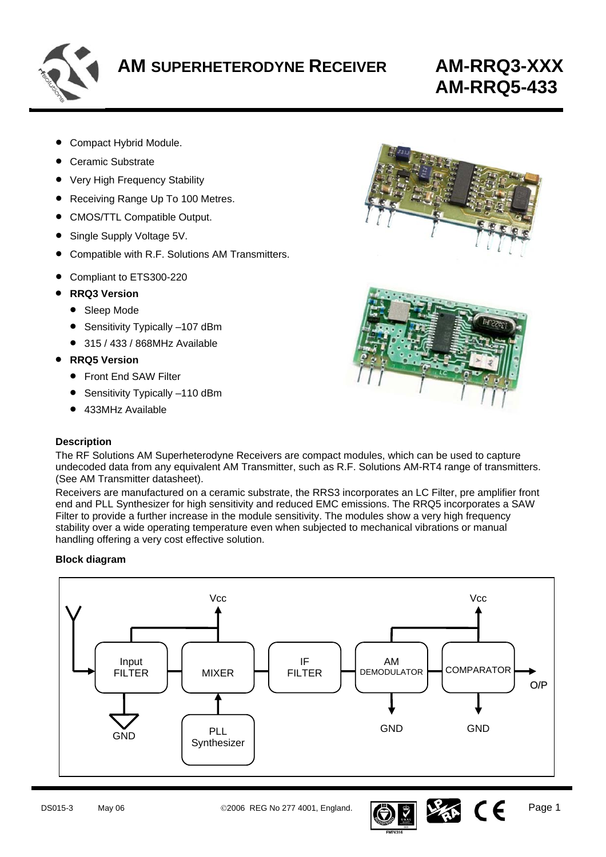

# **AM-RRQ5-433**

- Compact Hybrid Module.
- Ceramic Substrate
- Very High Frequency Stability
- Receiving Range Up To 100 Metres.
- CMOS/TTL Compatible Output.
- Single Supply Voltage 5V.
- Compatible with R.F. Solutions AM Transmitters.
- Compliant to ETS300-220
- **RRQ3 Version**
	- Sleep Mode
	- Sensitivity Typically -107 dBm
	- 315 / 433 / 868MHz Available
- **RRQ5 Version** 
	- Front End SAW Filter
	- Sensitivity Typically -110 dBm
	- 433MHz Available

# **Description**





The RF Solutions AM Superheterodyne Receivers are compact modules, which can be used to capture undecoded data from any equivalent AM Transmitter, such as R.F. Solutions AM-RT4 range of transmitters. (See AM Transmitter datasheet).

Receivers are manufactured on a ceramic substrate, the RRS3 incorporates an LC Filter, pre amplifier front end and PLL Synthesizer for high sensitivity and reduced EMC emissions. The RRQ5 incorporates a SAW Filter to provide a further increase in the module sensitivity. The modules show a very high frequency stability over a wide operating temperature even when subjected to mechanical vibrations or manual handling offering a very cost effective solution.

# **Block diagram**





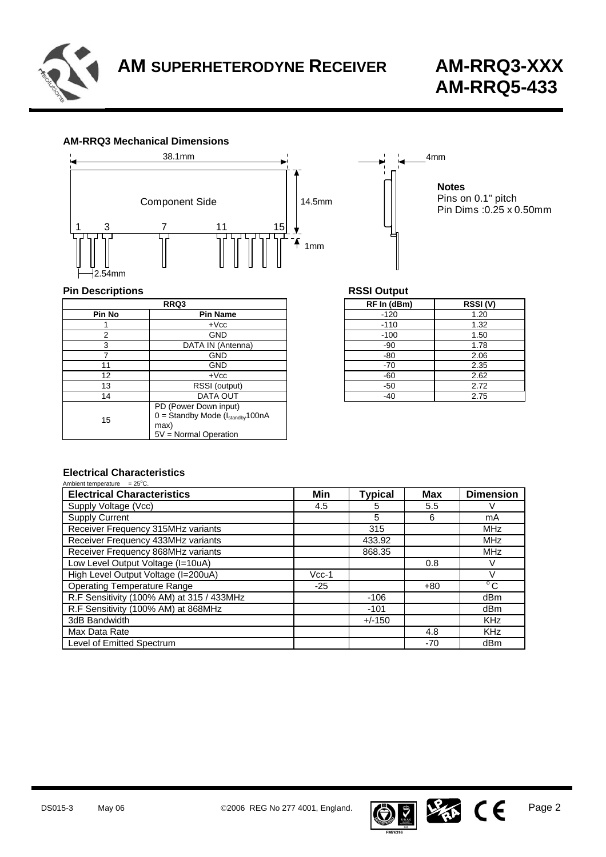

# **AM-RRQ3 Mechanical Dimensions**



**Notes** Pins on 0.1" pitch Pin Dims :0.25 x 0.50mm

# **Pin Descriptions Pin Descriptions RSSI Output**

| RRQ3   |                                                                                                           | RF In (dBm) | RSSI( |
|--------|-----------------------------------------------------------------------------------------------------------|-------------|-------|
| Pin No | <b>Pin Name</b>                                                                                           | $-120$      | 1.20  |
|        | $+{\sf Vcc}$                                                                                              | $-110$      | 1.32  |
| 2      | <b>GND</b>                                                                                                | $-100$      | 1.50  |
| 3      | DATA IN (Antenna)                                                                                         | $-90$       | 1.78  |
|        | <b>GND</b>                                                                                                | -80         | 2.06  |
| 11     | <b>GND</b>                                                                                                | $-70$       | 2.35  |
| 12     | $+$ $Vcc$                                                                                                 | -60         | 2.62  |
| 13     | RSSI (output)                                                                                             | $-50$       | 2.72  |
| 14     | DATA OUT                                                                                                  | -40         | 2.75  |
| 15     | PD (Power Down input)<br>$0 =$ Standby Mode ( $I_{\text{standby}}$ 100nA<br>max)<br>5V = Normal Operation |             |       |

| RRQ3              | RF In (dBm) | RSSI(V) |  |
|-------------------|-------------|---------|--|
| <b>Pin Name</b>   | $-120$      | 1.20    |  |
| $+$ V $cc$        | $-110$      | 1.32    |  |
| <b>GND</b>        | $-100$      | 1.50    |  |
| DATA IN (Antenna) | $-90$       | 1.78    |  |
| <b>GND</b>        | $-80$       | 2.06    |  |
| <b>GND</b>        | $-70$       | 2.35    |  |
| $+$ Vcc           | $-60$       | 2.62    |  |
| RSSI (output)     | $-50$       | 2.72    |  |
| DATA OUT          | $-40$       | 2.75    |  |
|                   |             |         |  |

4mm

# **Electrical Characteristics**

| Ambient temperature $= 25^{\circ}$ C.     |         |                |            |                  |
|-------------------------------------------|---------|----------------|------------|------------------|
| <b>Electrical Characteristics</b>         | Min     | <b>Typical</b> | <b>Max</b> | <b>Dimension</b> |
| Supply Voltage (Vcc)                      | 4.5     | 5              | 5.5        |                  |
| <b>Supply Current</b>                     |         | 5              | 6          | mA               |
| Receiver Frequency 315MHz variants        |         | 315            |            | <b>MHz</b>       |
| Receiver Frequency 433MHz variants        |         | 433.92         |            | <b>MHz</b>       |
| Receiver Frequency 868MHz variants        |         | 868.35         |            | <b>MHz</b>       |
| Low Level Output Voltage (I=10uA)         |         |                | 0.8        | V                |
| High Level Output Voltage (I=200uA)       | $Vcc-1$ |                |            |                  |
| <b>Operating Temperature Range</b>        | $-25$   |                | $+80$      | $\overline{C}$   |
| R.F Sensitivity (100% AM) at 315 / 433MHz |         | $-106$         |            | dBm              |
| R.F Sensitivity (100% AM) at 868MHz       |         | $-101$         |            | dBm              |
| 3dB Bandwidth                             |         | $+/-150$       |            | <b>KHz</b>       |
| Max Data Rate                             |         |                | 4.8        | <b>KHz</b>       |
| Level of Emitted Spectrum                 |         |                | -70        | dBm              |

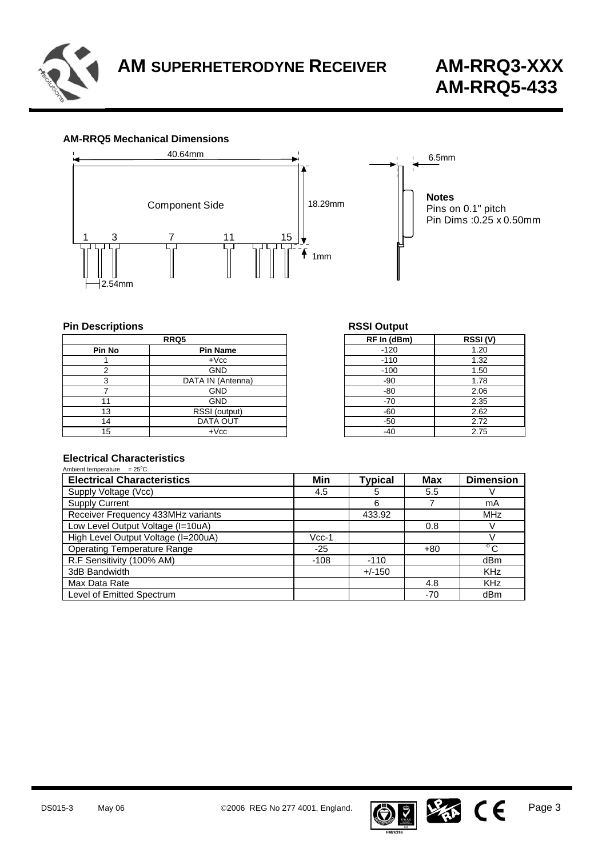

#### **AM-RRQ5 Mechanical Dimensions**



# **Pin Descriptions RSSI C**

| RRQ5          |                   | RF In (dBm) | RSSI( |
|---------------|-------------------|-------------|-------|
| <b>Pin No</b> | <b>Pin Name</b>   | $-120$      | 1.20  |
|               | $+$ $Vcc$         | $-110$      | 1.32  |
|               | <b>GND</b>        | $-100$      | 1.50  |
|               | DATA IN (Antenna) | -90         | 1.78  |
|               | GND               | -80         | 2.06  |
|               | <b>GND</b>        | $-70$       | 2.35  |
| 13            | RSSI (output)     | $-60$       | 2.62  |
| 14            | DATA OUT          | -50         | 2.72  |
| 15            | $+$ $Vcc$         | -40         | 2.75  |

| RSSI Output |
|-------------|
|             |

| RRQ5              | RF In (dBm) | RSSI(V) |
|-------------------|-------------|---------|
| <b>Pin Name</b>   | $-120$      | 1.20    |
| $+{\sf Vcc}$      | $-110$      | 1.32    |
| <b>GND</b>        | $-100$      | 1.50    |
| DATA IN (Antenna) | $-90$       | 1.78    |
| <b>GND</b>        | $-80$       | 2.06    |
| <b>GND</b>        | $-70$       | 2.35    |
| RSSI (output)     | $-60$       | 2.62    |
| DATA OUT          | $-50$       | 2.72    |
| $+$ $Vcc$         | $-40$       | 2.75    |
|                   |             |         |

#### **Electrical Characteristics**   $A$ mbiont ton

| Ambient temperature $= 25^{\circ}$ C. |         |                |            |                  |
|---------------------------------------|---------|----------------|------------|------------------|
| <b>Electrical Characteristics</b>     | Min     | <b>Typical</b> | <b>Max</b> | <b>Dimension</b> |
| Supply Voltage (Vcc)                  | 4.5     | 5              | 5.5        |                  |
| <b>Supply Current</b>                 |         | 6              |            | mA               |
| Receiver Frequency 433MHz variants    |         | 433.92         |            | <b>MHz</b>       |
| Low Level Output Voltage (I=10uA)     |         |                | 0.8        |                  |
| High Level Output Voltage (I=200uA)   | $Vcc-1$ |                |            |                  |
| <b>Operating Temperature Range</b>    | $-25$   |                | $+80$      | $^{\circ}$ C     |
| R.F Sensitivity (100% AM)             | $-108$  | $-110$         |            | dBm              |
| 3dB Bandwidth                         |         | $+/-150$       |            | <b>KHz</b>       |
| Max Data Rate                         |         |                | 4.8        | <b>KHz</b>       |
| Level of Emitted Spectrum             |         |                | -70        | dBm              |